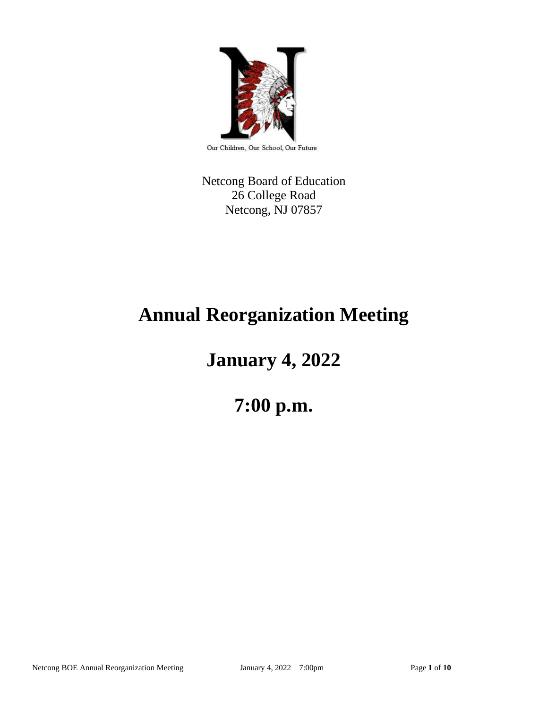

Our Children, Our School, Our Future

Netcong Board of Education 26 College Road Netcong, NJ 07857

# **Annual Reorganization Meeting**

# **January 4, 2022**

# **7:00 p.m.**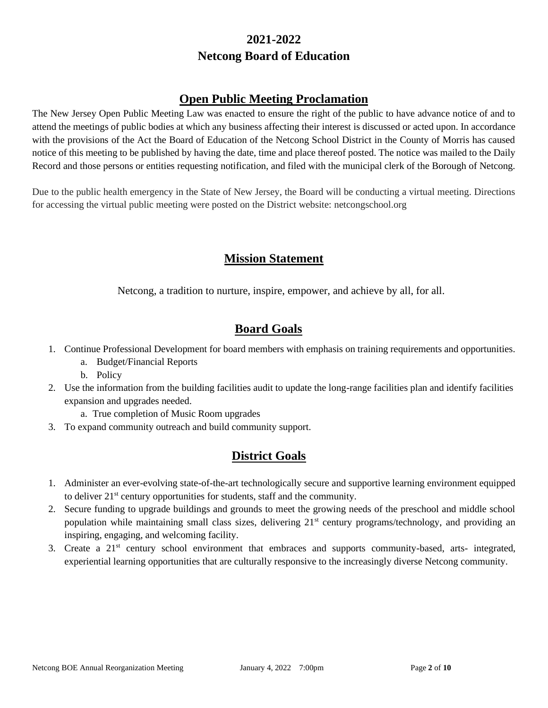# **2021-2022 Netcong Board of Education**

# **Open Public Meeting Proclamation**

The New Jersey Open Public Meeting Law was enacted to ensure the right of the public to have advance notice of and to attend the meetings of public bodies at which any business affecting their interest is discussed or acted upon. In accordance with the provisions of the Act the Board of Education of the Netcong School District in the County of Morris has caused notice of this meeting to be published by having the date, time and place thereof posted. The notice was mailed to the Daily Record and those persons or entities requesting notification, and filed with the municipal clerk of the Borough of Netcong.

Due to the public health emergency in the State of New Jersey, the Board will be conducting a virtual meeting. Directions for accessing the virtual public meeting were posted on the District website: netcongschool.org

# **Mission Statement**

Netcong, a tradition to nurture, inspire, empower, and achieve by all, for all.

# **Board Goals**

- 1. Continue Professional Development for board members with emphasis on training requirements and opportunities.
	- a. Budget/Financial Reports
	- b. Policy
- 2. Use the information from the building facilities audit to update the long-range facilities plan and identify facilities expansion and upgrades needed.
	- a. True completion of Music Room upgrades
- 3. To expand community outreach and build community support.

# **District Goals**

- 1. Administer an ever-evolving state-of-the-art technologically secure and supportive learning environment equipped to deliver 21st century opportunities for students, staff and the community.
- 2. Secure funding to upgrade buildings and grounds to meet the growing needs of the preschool and middle school population while maintaining small class sizes, delivering 21<sup>st</sup> century programs/technology, and providing an inspiring, engaging, and welcoming facility.
- 3. Create a 21st century school environment that embraces and supports community-based, arts- integrated, experiential learning opportunities that are culturally responsive to the increasingly diverse Netcong community.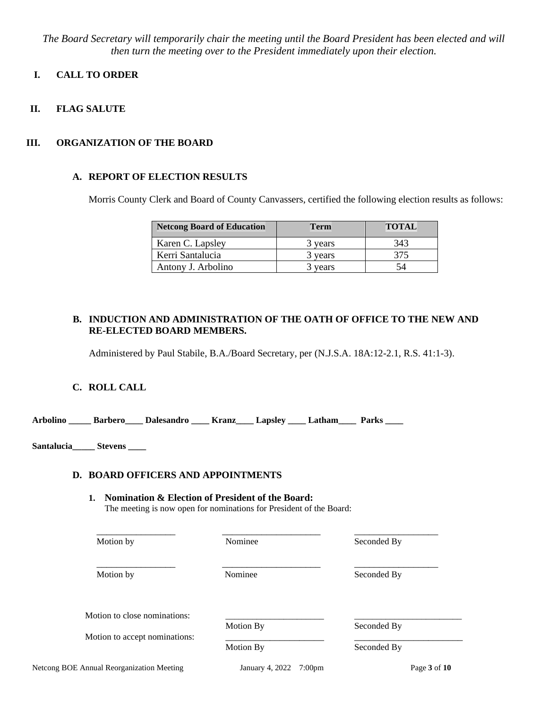*The Board Secretary will temporarily chair the meeting until the Board President has been elected and will then turn the meeting over to the President immediately upon their election.*

# **I. CALL TO ORDER**

**II. FLAG SALUTE**

# **III. ORGANIZATION OF THE BOARD**

# **A. REPORT OF ELECTION RESULTS**

Morris County Clerk and Board of County Canvassers, certified the following election results as follows:

| <b>Netcong Board of Education</b> | <b>Term</b> | <b>TOTAL</b> |
|-----------------------------------|-------------|--------------|
| Karen C. Lapsley                  | 3 years     | 343          |
| Kerri Santalucia                  | 3 years     | 375          |
| Antony J. Arbolino                | 3 years     |              |

# **B. INDUCTION AND ADMINISTRATION OF THE OATH OF OFFICE TO THE NEW AND RE-ELECTED BOARD MEMBERS.**

Administered by Paul Stabile, B.A./Board Secretary, per (N.J.S.A. 18A:12-2.1, R.S. 41:1-3).

# **C. ROLL CALL**

**Arbolino \_\_\_\_\_ Barbero\_\_\_\_ Dalesandro \_\_\_\_ Kranz\_\_\_\_ Lapsley \_\_\_\_ Latham\_\_\_\_ Parks \_\_\_\_** 

**Santalucia\_\_\_\_\_ Stevens \_\_\_\_** 

# **D. BOARD OFFICERS AND APPOINTMENTS**

#### **1. Nomination & Election of President of the Board:**  The meeting is now open for nominations for President of the Board:

| Motion by                     | Nominee   | Seconded By |
|-------------------------------|-----------|-------------|
| Motion by                     | Nominee   | Seconded By |
| Motion to close nominations:  | Motion By | Seconded By |
| Motion to accept nominations: |           |             |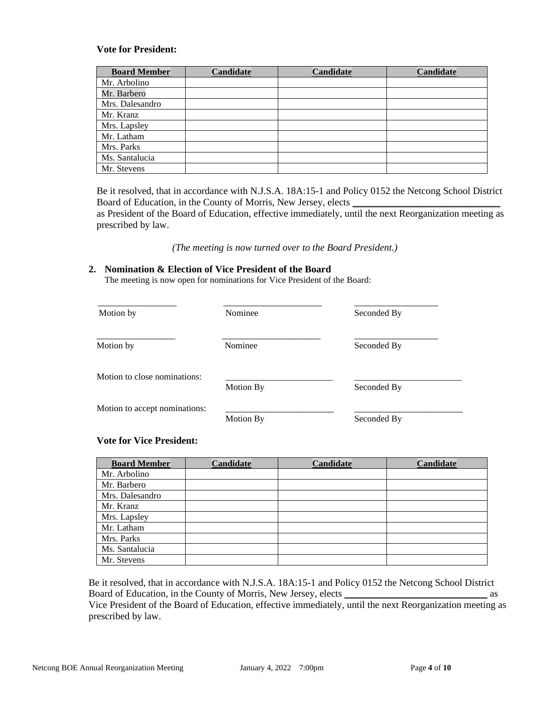## **Vote for President:**

| <b>Board Member</b> | Candidate | <b>Candidate</b> | <b>Candidate</b> |
|---------------------|-----------|------------------|------------------|
| Mr. Arbolino        |           |                  |                  |
| Mr. Barbero         |           |                  |                  |
| Mrs. Dalesandro     |           |                  |                  |
| Mr. Kranz           |           |                  |                  |
| Mrs. Lapsley        |           |                  |                  |
| Mr. Latham          |           |                  |                  |
| Mrs. Parks          |           |                  |                  |
| Ms. Santalucia      |           |                  |                  |
| Mr. Stevens         |           |                  |                  |

Be it resolved, that in accordance with N.J.S.A. 18A:15-1 and Policy 0152 the Netcong School District Board of Education, in the County of Morris, New Jersey, elects \_ as President of the Board of Education, effective immediately, until the next Reorganization meeting as

prescribed by law.

 *(The meeting is now turned over to the Board President.)*

#### **2. Nomination & Election of Vice President of the Board**

The meeting is now open for nominations for Vice President of the Board:

| Motion by                     | Nominee   | Seconded By |
|-------------------------------|-----------|-------------|
| Motion by                     | Nominee   | Seconded By |
| Motion to close nominations:  | Motion By | Seconded By |
| Motion to accept nominations: | Motion By | Seconded By |

# **Vote for Vice President:**

| <b>Board Member</b> | Candidate | <b>Candidate</b> | <b>Candidate</b> |
|---------------------|-----------|------------------|------------------|
| Mr. Arbolino        |           |                  |                  |
| Mr. Barbero         |           |                  |                  |
| Mrs. Dalesandro     |           |                  |                  |
| Mr. Kranz           |           |                  |                  |
| Mrs. Lapsley        |           |                  |                  |
| Mr. Latham          |           |                  |                  |
| Mrs. Parks          |           |                  |                  |
| Ms. Santalucia      |           |                  |                  |
| Mr. Stevens         |           |                  |                  |

Be it resolved, that in accordance with N.J.S.A. 18A:15-1 and Policy 0152 the Netcong School District Board of Education, in the County of Morris, New Jersey, elects \_\_\_\_\_\_\_\_\_\_\_\_\_\_\_\_\_\_\_\_\_\_\_\_\_\_\_\_\_ as Vice President of the Board of Education, effective immediately, until the next Reorganization meeting as

prescribed by law.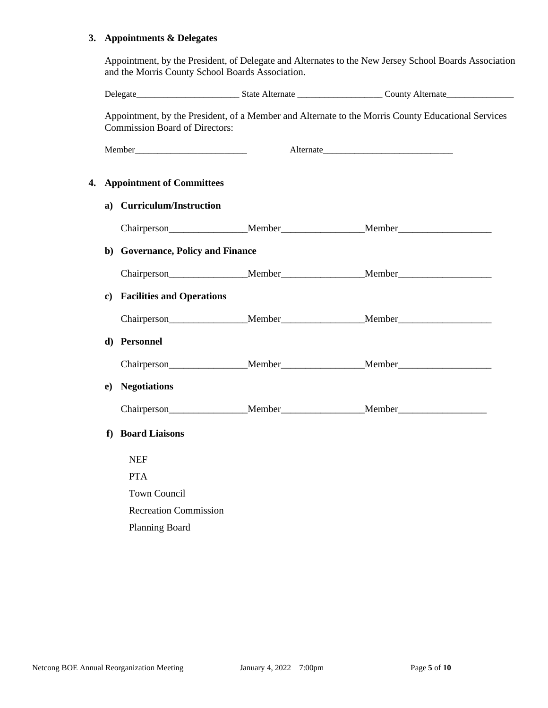# **3. Appointments & Delegates**

Appointment, by the President, of Delegate and Alternates to the New Jersey School Boards Association and the Morris County School Boards Association.

|    |    | <b>Commission Board of Directors:</b> | Appointment, by the President, of a Member and Alternate to the Morris County Educational Services |
|----|----|---------------------------------------|----------------------------------------------------------------------------------------------------|
|    |    | Member                                |                                                                                                    |
| 4. |    | <b>Appointment of Committees</b>      |                                                                                                    |
|    |    | a) Curriculum/Instruction             |                                                                                                    |
|    |    |                                       | Chairperson______________________Member_____________________Member_______________                  |
|    |    | b) Governance, Policy and Finance     |                                                                                                    |
|    |    |                                       | Chairperson Member Member Member                                                                   |
|    |    | c) Facilities and Operations          |                                                                                                    |
|    |    |                                       |                                                                                                    |
|    |    | d) Personnel                          |                                                                                                    |
|    |    |                                       | Chairperson Member Member Member Member                                                            |
|    | e) | <b>Negotiations</b>                   |                                                                                                    |
|    |    |                                       | Chairperson Member Member Member                                                                   |
|    | f  | <b>Board Liaisons</b>                 |                                                                                                    |
|    |    | <b>NEF</b>                            |                                                                                                    |
|    |    | <b>PTA</b>                            |                                                                                                    |
|    |    | <b>Town Council</b>                   |                                                                                                    |
|    |    | <b>Recreation Commission</b>          |                                                                                                    |
|    |    | <b>Planning Board</b>                 |                                                                                                    |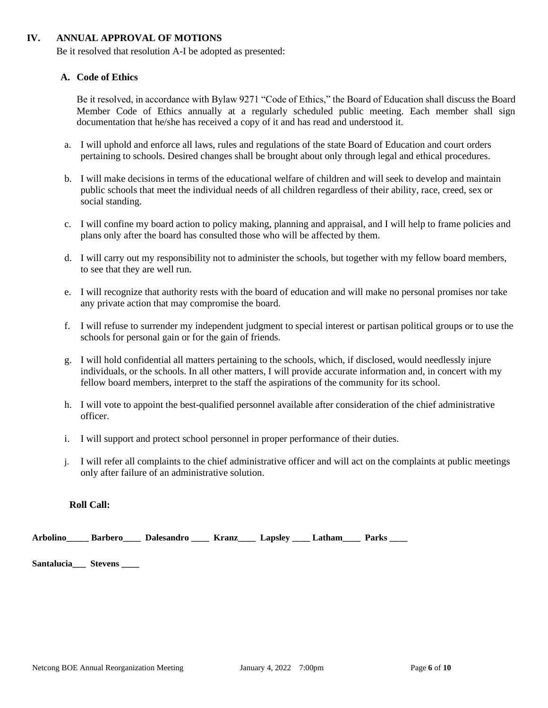# **IV. ANNUAL APPROVAL OF MOTIONS**

Be it resolved that resolution A-I be adopted as presented:

### **A. Code of Ethics**

Be it resolved, in accordance with Bylaw 9271 "Code of Ethics," the Board of Education shall discuss the Board Member Code of Ethics annually at a regularly scheduled public meeting. Each member shall sign documentation that he/she has received a copy of it and has read and understood it.

- a. I will uphold and enforce all laws, rules and regulations of the state Board of Education and court orders pertaining to schools. Desired changes shall be brought about only through legal and ethical procedures.
- b. I will make decisions in terms of the educational welfare of children and will seek to develop and maintain public schools that meet the individual needs of all children regardless of their ability, race, creed, sex or social standing.
- c. I will confine my board action to policy making, planning and appraisal, and I will help to frame policies and plans only after the board has consulted those who will be affected by them.
- d. I will carry out my responsibility not to administer the schools, but together with my fellow board members, to see that they are well run.
- e. I will recognize that authority rests with the board of education and will make no personal promises nor take any private action that may compromise the board.
- f. I will refuse to surrender my independent judgment to special interest or partisan political groups or to use the schools for personal gain or for the gain of friends.
- g. I will hold confidential all matters pertaining to the schools, which, if disclosed, would needlessly injure individuals, or the schools. In all other matters, I will provide accurate information and, in concert with my fellow board members, interpret to the staff the aspirations of the community for its school.
- h. I will vote to appoint the best-qualified personnel available after consideration of the chief administrative officer.
- i. I will support and protect school personnel in proper performance of their duties.
- j. I will refer all complaints to the chief administrative officer and will act on the complaints at public meetings only after failure of an administrative solution.

#### **Roll Call:**

|  | <b>Arbolino</b> | Barbero | Dalesandro | Kranz | Lapsley | Latham | <b>Parks</b> |
|--|-----------------|---------|------------|-------|---------|--------|--------------|
|--|-----------------|---------|------------|-------|---------|--------|--------------|

**Santalucia\_\_\_ Stevens \_\_\_\_**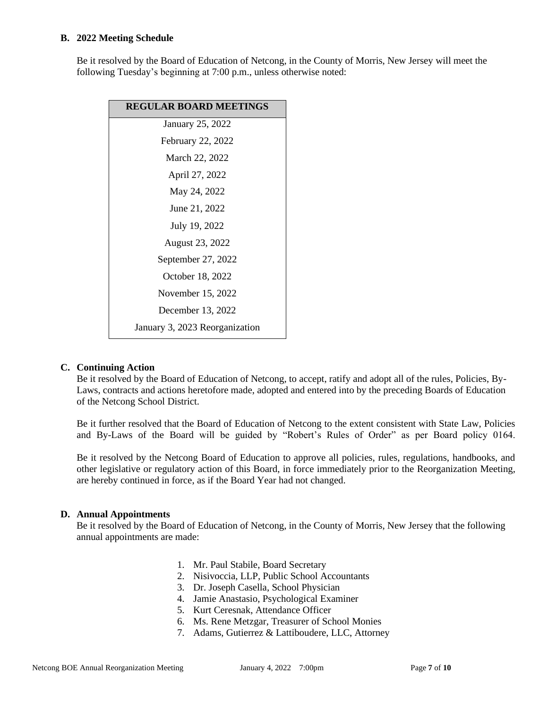## **B. 2022 Meeting Schedule**

Be it resolved by the Board of Education of Netcong, in the County of Morris, New Jersey will meet the following Tuesday's beginning at 7:00 p.m., unless otherwise noted:

| <b>REGULAR BOARD MEETINGS</b>  |
|--------------------------------|
| January 25, 2022               |
| February 22, 2022              |
| March 22, 2022                 |
| April 27, 2022                 |
| May 24, 2022                   |
| June 21, 2022                  |
| July 19, 2022                  |
| August 23, 2022                |
| September 27, 2022             |
| October 18, 2022               |
| November 15, 2022              |
| December 13, 2022              |
| January 3, 2023 Reorganization |

# **C. Continuing Action**

Be it resolved by the Board of Education of Netcong, to accept, ratify and adopt all of the rules, Policies, By-Laws, contracts and actions heretofore made, adopted and entered into by the preceding Boards of Education of the Netcong School District.

Be it further resolved that the Board of Education of Netcong to the extent consistent with State Law, Policies and By-Laws of the Board will be guided by "Robert's Rules of Order" as per Board policy 0164.

Be it resolved by the Netcong Board of Education to approve all policies, rules, regulations, handbooks, and other legislative or regulatory action of this Board, in force immediately prior to the Reorganization Meeting, are hereby continued in force, as if the Board Year had not changed.

# **D. Annual Appointments**

Be it resolved by the Board of Education of Netcong, in the County of Morris, New Jersey that the following annual appointments are made:

- 1. Mr. Paul Stabile, Board Secretary
- 2. Nisivoccia, LLP, Public School Accountants
- 3. Dr. Joseph Casella, School Physician
- 4. Jamie Anastasio, Psychological Examiner
- 5. Kurt Ceresnak, Attendance Officer
- 6. Ms. Rene Metzgar, Treasurer of School Monies
- 7. Adams, Gutierrez & Lattiboudere, LLC, Attorney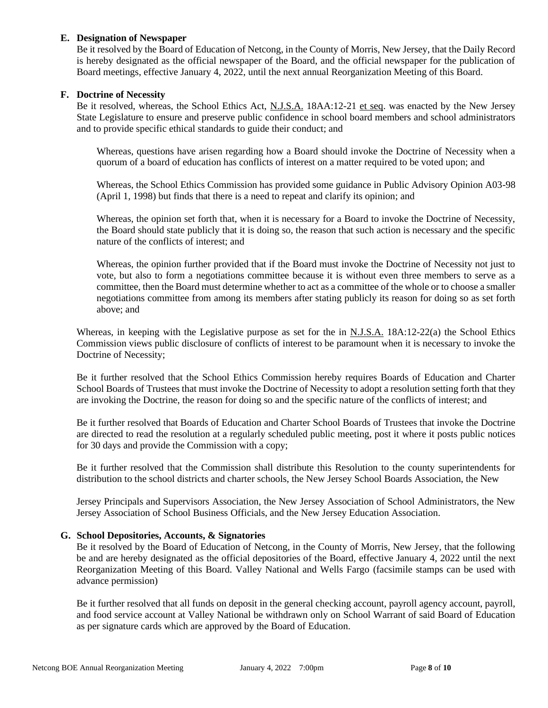# **E. Designation of Newspaper**

Be it resolved by the Board of Education of Netcong, in the County of Morris, New Jersey, that the Daily Record is hereby designated as the official newspaper of the Board, and the official newspaper for the publication of Board meetings, effective January 4, 2022, until the next annual Reorganization Meeting of this Board.

#### **F. Doctrine of Necessity**

Be it resolved, whereas, the School Ethics Act, N.J.S.A. 18AA:12-21 et seq. was enacted by the New Jersey State Legislature to ensure and preserve public confidence in school board members and school administrators and to provide specific ethical standards to guide their conduct; and

Whereas, questions have arisen regarding how a Board should invoke the Doctrine of Necessity when a quorum of a board of education has conflicts of interest on a matter required to be voted upon; and

Whereas, the School Ethics Commission has provided some guidance in Public Advisory Opinion A03-98 (April 1, 1998) but finds that there is a need to repeat and clarify its opinion; and

Whereas, the opinion set forth that, when it is necessary for a Board to invoke the Doctrine of Necessity, the Board should state publicly that it is doing so, the reason that such action is necessary and the specific nature of the conflicts of interest; and

Whereas, the opinion further provided that if the Board must invoke the Doctrine of Necessity not just to vote, but also to form a negotiations committee because it is without even three members to serve as a committee, then the Board must determine whether to act as a committee of the whole or to choose a smaller negotiations committee from among its members after stating publicly its reason for doing so as set forth above; and

Whereas, in keeping with the Legislative purpose as set for the in N.J.S.A. 18A:12-22(a) the School Ethics Commission views public disclosure of conflicts of interest to be paramount when it is necessary to invoke the Doctrine of Necessity;

Be it further resolved that the School Ethics Commission hereby requires Boards of Education and Charter School Boards of Trustees that must invoke the Doctrine of Necessity to adopt a resolution setting forth that they are invoking the Doctrine, the reason for doing so and the specific nature of the conflicts of interest; and

Be it further resolved that Boards of Education and Charter School Boards of Trustees that invoke the Doctrine are directed to read the resolution at a regularly scheduled public meeting, post it where it posts public notices for 30 days and provide the Commission with a copy;

Be it further resolved that the Commission shall distribute this Resolution to the county superintendents for distribution to the school districts and charter schools, the New Jersey School Boards Association, the New

Jersey Principals and Supervisors Association, the New Jersey Association of School Administrators, the New Jersey Association of School Business Officials, and the New Jersey Education Association.

# **G. School Depositories, Accounts, & Signatories**

Be it resolved by the Board of Education of Netcong, in the County of Morris, New Jersey, that the following be and are hereby designated as the official depositories of the Board, effective January 4, 2022 until the next Reorganization Meeting of this Board. Valley National and Wells Fargo (facsimile stamps can be used with advance permission)

Be it further resolved that all funds on deposit in the general checking account, payroll agency account, payroll, and food service account at Valley National be withdrawn only on School Warrant of said Board of Education as per signature cards which are approved by the Board of Education.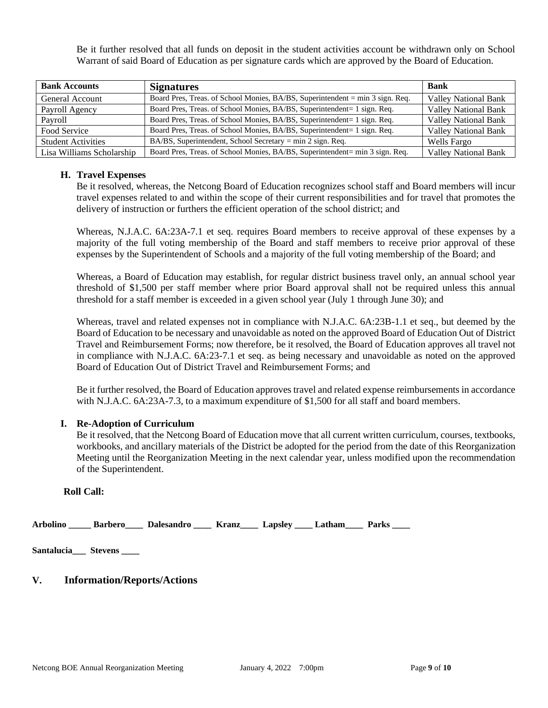Be it further resolved that all funds on deposit in the student activities account be withdrawn only on School Warrant of said Board of Education as per signature cards which are approved by the Board of Education.

| <b>Bank Accounts</b>      | <b>Signatures</b>                                                             | <b>Bank</b>                 |
|---------------------------|-------------------------------------------------------------------------------|-----------------------------|
| General Account           | Board Pres, Treas. of School Monies, BA/BS, Superintendent = min 3 sign. Req. | <b>Valley National Bank</b> |
| Payroll Agency            | Board Pres, Treas. of School Monies, BA/BS, Superintendent= 1 sign. Req.      | <b>Valley National Bank</b> |
| Pavroll                   | Board Pres, Treas. of School Monies, BA/BS, Superintendent= 1 sign. Req.      | <b>Valley National Bank</b> |
| Food Service              | Board Pres, Treas. of School Monies, BA/BS, Superintendent= 1 sign. Req.      | <b>Valley National Bank</b> |
| <b>Student Activities</b> | BA/BS, Superintendent, School Secretary = min 2 sign. Req.                    | Wells Fargo                 |
| Lisa Williams Scholarship | Board Pres, Treas. of School Monies, BA/BS, Superintendent= min 3 sign. Req.  | <b>Valley National Bank</b> |

# **H. Travel Expenses**

Be it resolved, whereas, the Netcong Board of Education recognizes school staff and Board members will incur travel expenses related to and within the scope of their current responsibilities and for travel that promotes the delivery of instruction or furthers the efficient operation of the school district; and

Whereas, N.J.A.C. 6A:23A-7.1 et seq. requires Board members to receive approval of these expenses by a majority of the full voting membership of the Board and staff members to receive prior approval of these expenses by the Superintendent of Schools and a majority of the full voting membership of the Board; and

Whereas, a Board of Education may establish, for regular district business travel only, an annual school year threshold of \$1,500 per staff member where prior Board approval shall not be required unless this annual threshold for a staff member is exceeded in a given school year (July 1 through June 30); and

Whereas, travel and related expenses not in compliance with N.J.A.C. 6A:23B-1.1 et seq., but deemed by the Board of Education to be necessary and unavoidable as noted on the approved Board of Education Out of District Travel and Reimbursement Forms; now therefore, be it resolved, the Board of Education approves all travel not in compliance with N.J.A.C. 6A:23-7.1 et seq. as being necessary and unavoidable as noted on the approved Board of Education Out of District Travel and Reimbursement Forms; and

Be it further resolved, the Board of Education approves travel and related expense reimbursements in accordance with N.J.A.C. 6A:23A-7.3, to a maximum expenditure of \$1,500 for all staff and board members.

# **I. Re-Adoption of Curriculum**

Be it resolved, that the Netcong Board of Education move that all current written curriculum, courses, textbooks, workbooks, and ancillary materials of the District be adopted for the period from the date of this Reorganization Meeting until the Reorganization Meeting in the next calendar year, unless modified upon the recommendation of the Superintendent.

### **Roll Call:**

**Arbolino \_\_\_\_\_ Barbero\_\_\_\_ Dalesandro \_\_\_\_ Kranz\_\_\_\_ Lapsley \_\_\_\_ Latham\_\_\_\_ Parks \_\_\_\_** 

**Santalucia\_\_\_ Stevens \_\_\_\_** 

# **V. Information/Reports/Actions**